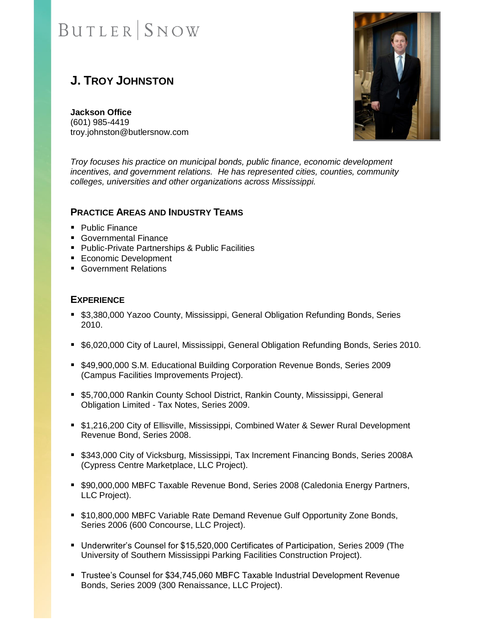# **BUTLER** SNOW

## **J. TROY JOHNSTON**

**Jackson Office** (601) 985-4419 troy.johnston@butlersnow.com



*Troy focuses his practice on municipal bonds, public finance, economic development incentives, and government relations. He has represented cities, counties, community colleges, universities and other organizations across Mississippi.*

### **PRACTICE AREAS AND INDUSTRY TEAMS**

- Public Finance
- Governmental Finance
- Public-Private Partnerships & Public Facilities
- Economic Development
- Government Relations

### **EXPERIENCE**

- \$3,380,000 Yazoo County, Mississippi, General Obligation Refunding Bonds, Series 2010.
- \$6,020,000 City of Laurel, Mississippi, General Obligation Refunding Bonds, Series 2010.
- \$49,900,000 S.M. Educational Building Corporation Revenue Bonds, Series 2009 (Campus Facilities Improvements Project).
- \$5,700,000 Rankin County School District, Rankin County, Mississippi, General Obligation Limited - Tax Notes, Series 2009.
- \$1,216,200 City of Ellisville, Mississippi, Combined Water & Sewer Rural Development Revenue Bond, Series 2008.
- \$343,000 City of Vicksburg, Mississippi, Tax Increment Financing Bonds, Series 2008A (Cypress Centre Marketplace, LLC Project).
- \$90,000,000 MBFC Taxable Revenue Bond, Series 2008 (Caledonia Energy Partners, LLC Project).
- \$10,800,000 MBFC Variable Rate Demand Revenue Gulf Opportunity Zone Bonds, Series 2006 (600 Concourse, LLC Project).
- Underwriter's Counsel for \$15,520,000 Certificates of Participation, Series 2009 (The University of Southern Mississippi Parking Facilities Construction Project).
- Trustee's Counsel for \$34,745,060 MBFC Taxable Industrial Development Revenue Bonds, Series 2009 (300 Renaissance, LLC Project).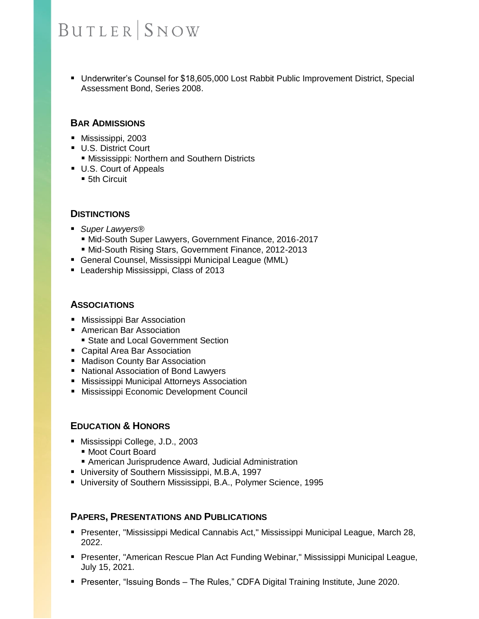# **BUTLER SNOW**

■ Underwriter's Counsel for \$18,605,000 Lost Rabbit Public Improvement District, Special Assessment Bond, Series 2008.

### **BAR ADMISSIONS**

- Mississippi, 2003
- U.S. District Court
	- **Mississippi: Northern and Southern Districts**
- U.S. Court of Appeals
	- 5th Circuit

#### **DISTINCTIONS**

- *Super Lawyers®*
	- Mid-South Super Lawyers, Government Finance, 2016-2017
	- Mid-South Rising Stars, Government Finance, 2012-2013
- General Counsel, Mississippi Municipal League (MML)
- Leadership Mississippi, Class of 2013

#### **ASSOCIATIONS**

- Mississippi Bar Association
- American Bar Association
	- State and Local Government Section
- Capital Area Bar Association
- Madison County Bar Association
- National Association of Bond Lawyers
- Mississippi Municipal Attorneys Association
- Mississippi Economic Development Council

#### **EDUCATION & HONORS**

- Mississippi College, J.D., 2003
	- Moot Court Board
	- American Jurisprudence Award, Judicial Administration
- University of Southern Mississippi, M.B.A, 1997
- University of Southern Mississippi, B.A., Polymer Science, 1995

#### **PAPERS, PRESENTATIONS AND PUBLICATIONS**

- Presenter, "Mississippi Medical Cannabis Act," Mississippi Municipal League, March 28, 2022.
- Presenter, "American Rescue Plan Act Funding Webinar," Mississippi Municipal League, July 15, 2021.
- Presenter, "Issuing Bonds The Rules," CDFA Digital Training Institute, June 2020.